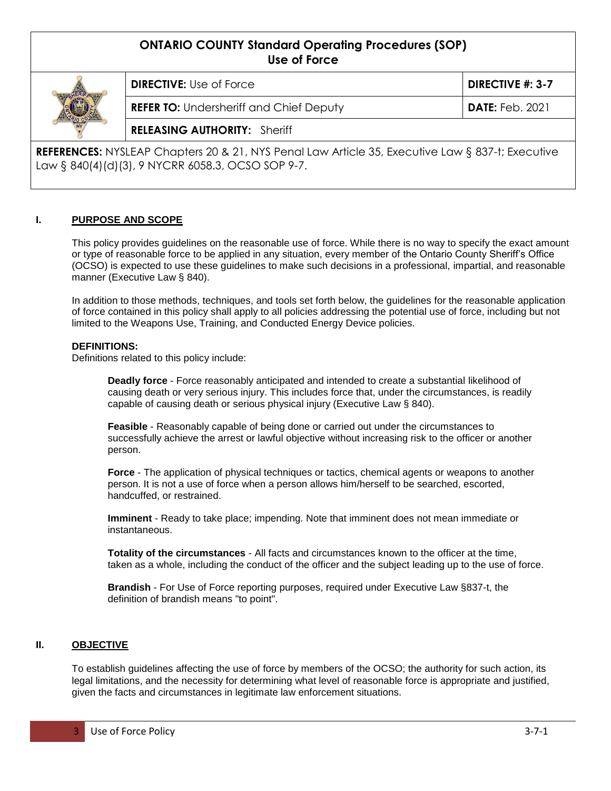# **ONTARIO COUNTY Standard Operating Procedures (SOP) Use of Force**



**DIRECTIVE:** Use of Force **DIRECTIVE #: 3-7 REFER TO:** Undersheriff and Chief Deputy **DATE:** Feb. 2021 **RELEASING AUTHORITY:** Sheriff

**REFERENCES:** NYSLEAP Chapters 20 & 21, NYS Penal Law Article 35, Executive Law § 837-t; Executive Law § 840(4)(d)(3), 9 NYCRR 6058.3, OCSO SOP 9-7.

# **I. PURPOSE AND SCOPE**

This policy provides guidelines on the reasonable use of force. While there is no way to specify the exact amount or type of reasonable force to be applied in any situation, every member of the Ontario County Sheriff's Office (OCSO) is expected to use these guidelines to make such decisions in a professional, impartial, and reasonable manner (Executive Law § 840).

In addition to those methods, techniques, and tools set forth below, the guidelines for the reasonable application of force contained in this policy shall apply to all policies addressing the potential use of force, including but not limited to the Weapons Use, Training, and Conducted Energy Device policies.

# **DEFINITIONS:**

Definitions related to this policy include:

**Deadly force** - Force reasonably anticipated and intended to create a substantial likelihood of causing death or very serious injury. This includes force that, under the circumstances, is readily capable of causing death or serious physical injury (Executive Law § 840).

**Feasible** - Reasonably capable of being done or carried out under the circumstances to successfully achieve the arrest or lawful objective without increasing risk to the officer or another person.

**Force** - The application of physical techniques or tactics, chemical agents or weapons to another person. It is not a use of force when a person allows him/herself to be searched, escorted, handcuffed, or restrained.

**Imminent** - Ready to take place; impending. Note that imminent does not mean immediate or instantaneous.

**Totality of the circumstances** - All facts and circumstances known to the officer at the time, taken as a whole, including the conduct of the officer and the subject leading up to the use of force.

**Brandish** - For Use of Force reporting purposes, required under Executive Law §837-t, the definition of brandish means "to point".

# **II. OBJECTIVE**

To establish guidelines affecting the use of force by members of the OCSO; the authority for such action, its legal limitations, and the necessity for determining what level of reasonable force is appropriate and justified, given the facts and circumstances in legitimate law enforcement situations.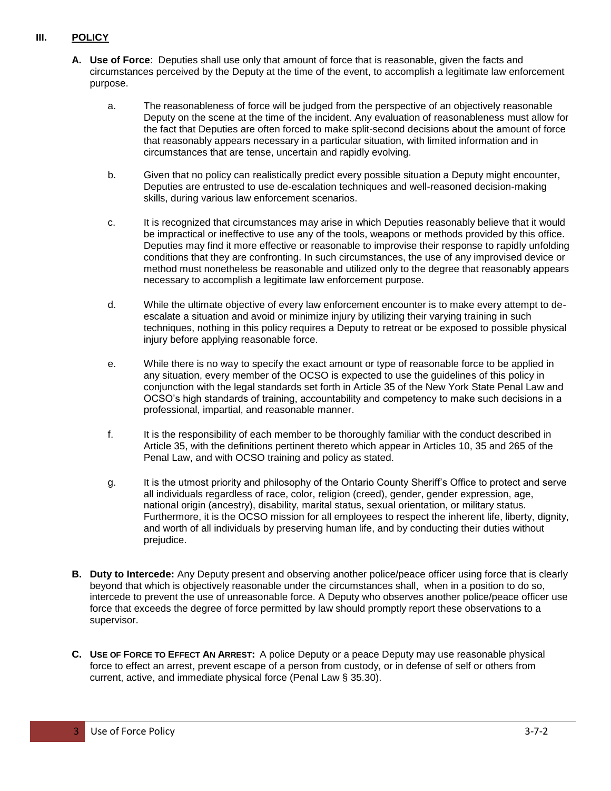# **III. POLICY**

- **A. Use of Force**: Deputies shall use only that amount of force that is reasonable, given the facts and circumstances perceived by the Deputy at the time of the event, to accomplish a legitimate law enforcement purpose.
	- a. The reasonableness of force will be judged from the perspective of an objectively reasonable Deputy on the scene at the time of the incident. Any evaluation of reasonableness must allow for the fact that Deputies are often forced to make split-second decisions about the amount of force that reasonably appears necessary in a particular situation, with limited information and in circumstances that are tense, uncertain and rapidly evolving.
	- b. Given that no policy can realistically predict every possible situation a Deputy might encounter, Deputies are entrusted to use de-escalation techniques and well-reasoned decision-making skills, during various law enforcement scenarios.
	- c. It is recognized that circumstances may arise in which Deputies reasonably believe that it would be impractical or ineffective to use any of the tools, weapons or methods provided by this office. Deputies may find it more effective or reasonable to improvise their response to rapidly unfolding conditions that they are confronting. In such circumstances, the use of any improvised device or method must nonetheless be reasonable and utilized only to the degree that reasonably appears necessary to accomplish a legitimate law enforcement purpose.
	- d. While the ultimate objective of every law enforcement encounter is to make every attempt to deescalate a situation and avoid or minimize injury by utilizing their varying training in such techniques, nothing in this policy requires a Deputy to retreat or be exposed to possible physical injury before applying reasonable force.
	- e. While there is no way to specify the exact amount or type of reasonable force to be applied in any situation, every member of the OCSO is expected to use the guidelines of this policy in conjunction with the legal standards set forth in Article 35 of the New York State Penal Law and OCSO's high standards of training, accountability and competency to make such decisions in a professional, impartial, and reasonable manner.
	- f. It is the responsibility of each member to be thoroughly familiar with the conduct described in Article 35, with the definitions pertinent thereto which appear in Articles 10, 35 and 265 of the Penal Law, and with OCSO training and policy as stated.
	- g. It is the utmost priority and philosophy of the Ontario County Sheriff's Office to protect and serve all individuals regardless of race, color, religion (creed), gender, gender expression, age, national origin (ancestry), disability, marital status, sexual orientation, or military status. Furthermore, it is the OCSO mission for all employees to respect the inherent life, liberty, dignity, and worth of all individuals by preserving human life, and by conducting their duties without prejudice.
- **B. Duty to Intercede:** Any Deputy present and observing another police/peace officer using force that is clearly beyond that which is objectively reasonable under the circumstances shall, when in a position to do so, intercede to prevent the use of unreasonable force. A Deputy who observes another police/peace officer use force that exceeds the degree of force permitted by law should promptly report these observations to a supervisor.
- **C. USE OF FORCE TO EFFECT AN ARREST:** A police Deputy or a peace Deputy may use reasonable physical force to effect an arrest, prevent escape of a person from custody, or in defense of self or others from current, active, and immediate physical force (Penal Law § 35.30).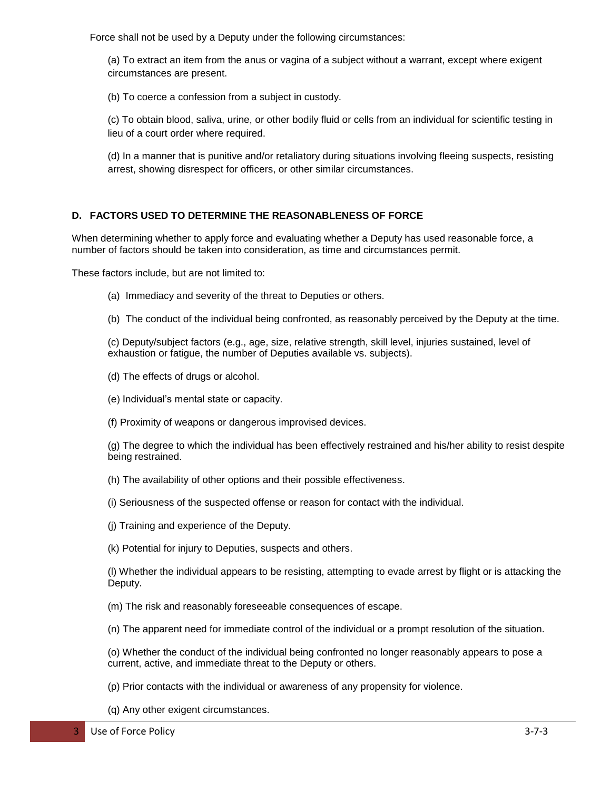Force shall not be used by a Deputy under the following circumstances:

(a) To extract an item from the anus or vagina of a subject without a warrant, except where exigent circumstances are present.

(b) To coerce a confession from a subject in custody.

(c) To obtain blood, saliva, urine, or other bodily fluid or cells from an individual for scientific testing in lieu of a court order where required.

(d) In a manner that is punitive and/or retaliatory during situations involving fleeing suspects, resisting arrest, showing disrespect for officers, or other similar circumstances.

# **D. FACTORS USED TO DETERMINE THE REASONABLENESS OF FORCE**

When determining whether to apply force and evaluating whether a Deputy has used reasonable force, a number of factors should be taken into consideration, as time and circumstances permit.

These factors include, but are not limited to:

- (a) Immediacy and severity of the threat to Deputies or others.
- (b) The conduct of the individual being confronted, as reasonably perceived by the Deputy at the time.

(c) Deputy/subject factors (e.g., age, size, relative strength, skill level, injuries sustained, level of exhaustion or fatigue, the number of Deputies available vs. subjects).

(d) The effects of drugs or alcohol.

(e) Individual's mental state or capacity.

(f) Proximity of weapons or dangerous improvised devices.

(g) The degree to which the individual has been effectively restrained and his/her ability to resist despite being restrained.

(h) The availability of other options and their possible effectiveness.

- (i) Seriousness of the suspected offense or reason for contact with the individual.
- (j) Training and experience of the Deputy.
- (k) Potential for injury to Deputies, suspects and others.

(l) Whether the individual appears to be resisting, attempting to evade arrest by flight or is attacking the Deputy.

(m) The risk and reasonably foreseeable consequences of escape.

(n) The apparent need for immediate control of the individual or a prompt resolution of the situation.

(o) Whether the conduct of the individual being confronted no longer reasonably appears to pose a current, active, and immediate threat to the Deputy or others.

- (p) Prior contacts with the individual or awareness of any propensity for violence.
- (q) Any other exigent circumstances.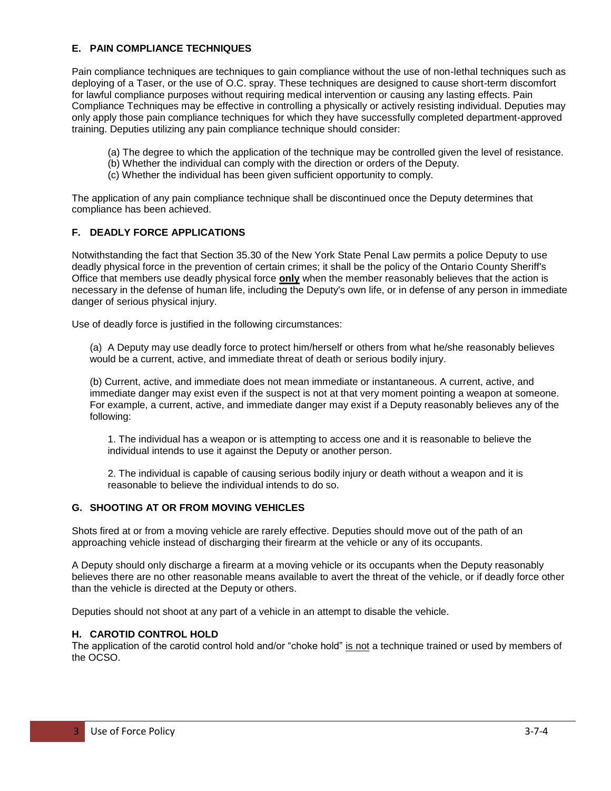# **E. PAIN COMPLIANCE TECHNIQUES**

Pain compliance techniques are techniques to gain compliance without the use of non-lethal techniques such as deploying of a Taser, or the use of O.C. spray. These techniques are designed to cause short-term discomfort for lawful compliance purposes without requiring medical intervention or causing any lasting effects. Pain Compliance Techniques may be effective in controlling a physically or actively resisting individual. Deputies may only apply those pain compliance techniques for which they have successfully completed department-approved training. Deputies utilizing any pain compliance technique should consider:

- (a) The degree to which the application of the technique may be controlled given the level of resistance.
- (b) Whether the individual can comply with the direction or orders of the Deputy.
- (c) Whether the individual has been given sufficient opportunity to comply.

The application of any pain compliance technique shall be discontinued once the Deputy determines that compliance has been achieved.

### **F. DEADLY FORCE APPLICATIONS**

Notwithstanding the fact that Section 35.30 of the New York State Penal Law permits a police Deputy to use deadly physical force in the prevention of certain crimes; it shall be the policy of the Ontario County Sheriff's Office that members use deadly physical force **only** when the member reasonably believes that the action is necessary in the defense of human life, including the Deputy's own life, or in defense of any person in immediate danger of serious physical injury.

Use of deadly force is justified in the following circumstances:

(a) A Deputy may use deadly force to protect him/herself or others from what he/she reasonably believes would be a current, active, and immediate threat of death or serious bodily injury.

(b) Current, active, and immediate does not mean immediate or instantaneous. A current, active, and immediate danger may exist even if the suspect is not at that very moment pointing a weapon at someone. For example, a current, active, and immediate danger may exist if a Deputy reasonably believes any of the following:

1. The individual has a weapon or is attempting to access one and it is reasonable to believe the individual intends to use it against the Deputy or another person.

2. The individual is capable of causing serious bodily injury or death without a weapon and it is reasonable to believe the individual intends to do so.

## **G. SHOOTING AT OR FROM MOVING VEHICLES**

Shots fired at or from a moving vehicle are rarely effective. Deputies should move out of the path of an approaching vehicle instead of discharging their firearm at the vehicle or any of its occupants.

A Deputy should only discharge a firearm at a moving vehicle or its occupants when the Deputy reasonably believes there are no other reasonable means available to avert the threat of the vehicle, or if deadly force other than the vehicle is directed at the Deputy or others.

Deputies should not shoot at any part of a vehicle in an attempt to disable the vehicle.

#### **H. CAROTID CONTROL HOLD**

The application of the carotid control hold and/or "choke hold" is not a technique trained or used by members of the OCSO.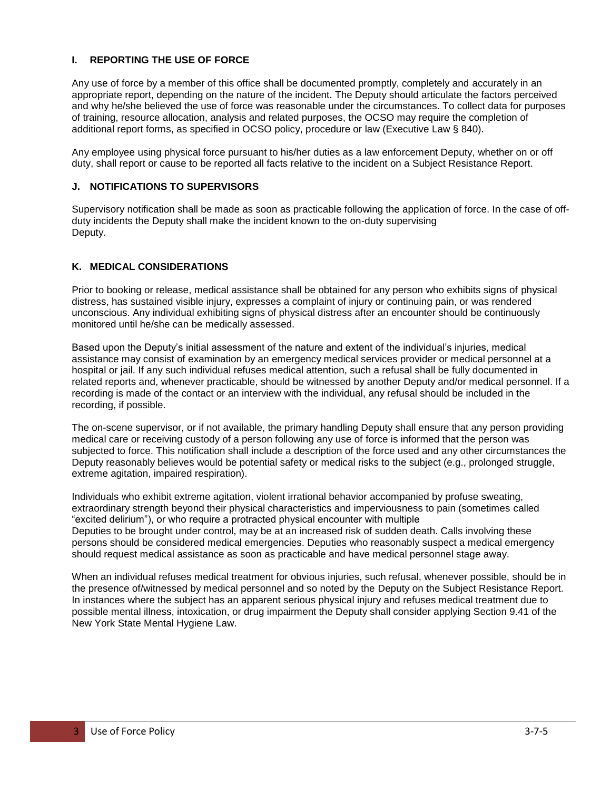# **I. REPORTING THE USE OF FORCE**

Any use of force by a member of this office shall be documented promptly, completely and accurately in an appropriate report, depending on the nature of the incident. The Deputy should articulate the factors perceived and why he/she believed the use of force was reasonable under the circumstances. To collect data for purposes of training, resource allocation, analysis and related purposes, the OCSO may require the completion of additional report forms, as specified in OCSO policy, procedure or law (Executive Law § 840).

Any employee using physical force pursuant to his/her duties as a law enforcement Deputy, whether on or off duty, shall report or cause to be reported all facts relative to the incident on a Subject Resistance Report.

## **J. NOTIFICATIONS TO SUPERVISORS**

Supervisory notification shall be made as soon as practicable following the application of force. In the case of offduty incidents the Deputy shall make the incident known to the on-duty supervising Deputy.

# **K. MEDICAL CONSIDERATIONS**

Prior to booking or release, medical assistance shall be obtained for any person who exhibits signs of physical distress, has sustained visible injury, expresses a complaint of injury or continuing pain, or was rendered unconscious. Any individual exhibiting signs of physical distress after an encounter should be continuously monitored until he/she can be medically assessed.

Based upon the Deputy's initial assessment of the nature and extent of the individual's injuries, medical assistance may consist of examination by an emergency medical services provider or medical personnel at a hospital or jail. If any such individual refuses medical attention, such a refusal shall be fully documented in related reports and, whenever practicable, should be witnessed by another Deputy and/or medical personnel. If a recording is made of the contact or an interview with the individual, any refusal should be included in the recording, if possible.

The on-scene supervisor, or if not available, the primary handling Deputy shall ensure that any person providing medical care or receiving custody of a person following any use of force is informed that the person was subjected to force. This notification shall include a description of the force used and any other circumstances the Deputy reasonably believes would be potential safety or medical risks to the subject (e.g., prolonged struggle, extreme agitation, impaired respiration).

Individuals who exhibit extreme agitation, violent irrational behavior accompanied by profuse sweating, extraordinary strength beyond their physical characteristics and imperviousness to pain (sometimes called "excited delirium"), or who require a protracted physical encounter with multiple Deputies to be brought under control, may be at an increased risk of sudden death. Calls involving these persons should be considered medical emergencies. Deputies who reasonably suspect a medical emergency should request medical assistance as soon as practicable and have medical personnel stage away.

When an individual refuses medical treatment for obvious injuries, such refusal, whenever possible, should be in the presence of/witnessed by medical personnel and so noted by the Deputy on the Subject Resistance Report. In instances where the subject has an apparent serious physical injury and refuses medical treatment due to possible mental illness, intoxication, or drug impairment the Deputy shall consider applying Section 9.41 of the New York State Mental Hygiene Law.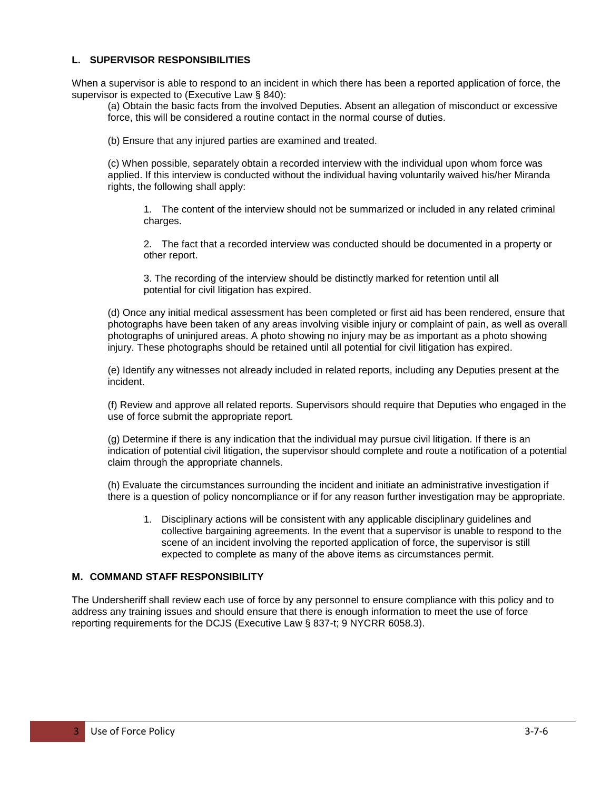## **L. SUPERVISOR RESPONSIBILITIES**

When a supervisor is able to respond to an incident in which there has been a reported application of force, the supervisor is expected to (Executive Law § 840):

(a) Obtain the basic facts from the involved Deputies. Absent an allegation of misconduct or excessive force, this will be considered a routine contact in the normal course of duties.

(b) Ensure that any injured parties are examined and treated.

(c) When possible, separately obtain a recorded interview with the individual upon whom force was applied. If this interview is conducted without the individual having voluntarily waived his/her Miranda rights, the following shall apply:

1. The content of the interview should not be summarized or included in any related criminal charges.

2. The fact that a recorded interview was conducted should be documented in a property or other report.

3. The recording of the interview should be distinctly marked for retention until all potential for civil litigation has expired.

(d) Once any initial medical assessment has been completed or first aid has been rendered, ensure that photographs have been taken of any areas involving visible injury or complaint of pain, as well as overall photographs of uninjured areas. A photo showing no injury may be as important as a photo showing injury. These photographs should be retained until all potential for civil litigation has expired.

(e) Identify any witnesses not already included in related reports, including any Deputies present at the incident.

(f) Review and approve all related reports. Supervisors should require that Deputies who engaged in the use of force submit the appropriate report.

(g) Determine if there is any indication that the individual may pursue civil litigation. If there is an indication of potential civil litigation, the supervisor should complete and route a notification of a potential claim through the appropriate channels.

(h) Evaluate the circumstances surrounding the incident and initiate an administrative investigation if there is a question of policy noncompliance or if for any reason further investigation may be appropriate.

1. Disciplinary actions will be consistent with any applicable disciplinary guidelines and collective bargaining agreements. In the event that a supervisor is unable to respond to the scene of an incident involving the reported application of force, the supervisor is still expected to complete as many of the above items as circumstances permit.

### **M. COMMAND STAFF RESPONSIBILITY**

The Undersheriff shall review each use of force by any personnel to ensure compliance with this policy and to address any training issues and should ensure that there is enough information to meet the use of force reporting requirements for the DCJS (Executive Law § 837-t; 9 NYCRR 6058.3).